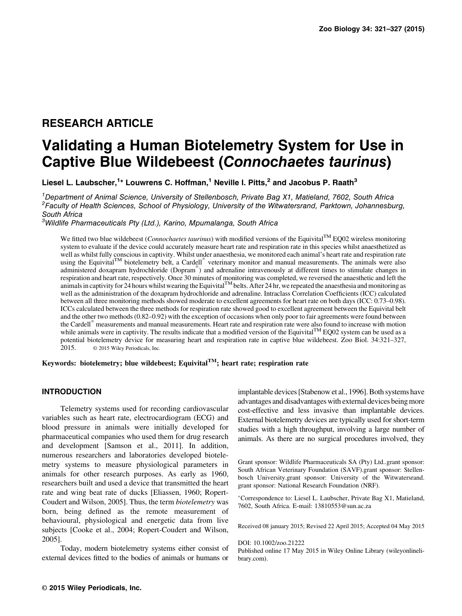# RESEARCH ARTICLE

# Validating a Human Biotelemetry System for Use in Captive Blue Wildebeest (Connochaetes taurinus)

Liesel L. Laubscher,<sup>1</sup>\* Louwrens C. Hoffman,<sup>1</sup> Neville I. Pitts,<sup>2</sup> and Jacobus P. Raath<sup>3</sup>

<sup>1</sup>Department of Animal Science, University of Stellenbosch, Private Bag X1, Matieland, 7602, South Africa <sup>2</sup> Faculty of Health Sciences, School of Physiology, University of the Witwatersrand, Parktown, Johannesburg, South Africa

<sup>3</sup>Wildlife Pharmaceuticals Pty (Ltd.), Karino, Mpumalanga, South Africa

We fitted two blue wildebeest (*Connochaetes taurinus*) with modified versions of the Equivital<sup>TM</sup> EQ02 wireless monitoring system to evaluate if the device could accurately measure heart rate and respiration rate in this species whilst anaesthetized as well as whilst fully conscious in captivity. Whilst under anaesthesia, we monitored each animal's heart rate and respiration rate using the Equivital<sup>TM</sup> biotelemetry belt, a Cardell<sup>®</sup> veterinary monitor and manual measurements. The animals were also administered doxapram hydrochloride (Dopram®) and adrenaline intravenously at different times to stimulate changes in respiration and heart rate, respectively. Once 30 minutes of monitoring was completed, we reversed the anaesthetic and left the animals in captivity for 24 hours whilst wearing the Equivital<sup>TM</sup> belts. After 24 hr, we repeated the anaesthesia and monitoring as well as the administration of the doxapram hydrochloride and adrenaline. Intraclass Correlation Coefficients (ICC) calculated between all three monitoring methods showed moderate to excellent agreements for heart rate on both days (ICC: 0.73–0.98). ICCs calculated between the three methods for respiration rate showed good to excellent agreement between the Equivital belt and the other two methods (0.82–0.92) with the exception of occasions when only poor to fair agreements were found between the Cardell<sup>®</sup> measurements and manual measurements. Heart rate and respiration rate were also found to increase with motion<br>while animals were in captivity. The results indicate that a modified version of the Equivital<sup>TM</sup> potential biotelemetry device for measuring heart and respiration rate in captive blue wildebeest. Zoo Biol. 34:321–327, 2015. © 2015 Wiley Periodicals, Inc. 2015. © 2015 Wiley Periodicals, Inc.

Keywords: biotelemetry; blue wildebeest; Equivital<sup>TM</sup>; heart rate; respiration rate

#### INTRODUCTION

Telemetry systems used for recording cardiovascular variables such as heart rate, electrocardiogram (ECG) and blood pressure in animals were initially developed for pharmaceutical companies who used them for drug research and development [Samson et al., 2011]. In addition, numerous researchers and laboratories developed biotelemetry systems to measure physiological parameters in animals for other research purposes. As early as 1960, researchers built and used a device that transmitted the heart rate and wing beat rate of ducks [Eliassen, 1960; Ropert-Coudert and Wilson, 2005]. Thus, the term biotelemetry was born, being defined as the remote measurement of behavioural, physiological and energetic data from live subjects [Cooke et al., 2004; Ropert-Coudert and Wilson, 2005].

Today, modern biotelemetry systems either consist of external devices fitted to the bodies of animals or humans or

implantable devices [Stabenow et al., 1996]. Both systems have advantages and disadvantages with external devices being more cost-effective and less invasive than implantable devices. External biotelemetry devices are typically used for short-term studies with a high throughput, involving a large number of animals. As there are no surgical procedures involved, they

Grant sponsor: Wildlife Pharmaceuticals SA (Pty) Ltd..grant sponsor: South African Veterinary Foundation (SAVF).grant sponsor: Stellenbosch University.grant sponsor: University of the Witwatersrand. grant sponsor: National Research Foundation (NRF).

Correspondence to: Liesel L. Laubscher, Private Bag X1, Matieland, 7602, South Africa. E-mail: 13810553@sun.ac.za

Received 08 january 2015; Revised 22 April 2015; Accepted 04 May 2015

DOI: 10.1002/zoo.21222

Published online 17 May 2015 in Wiley Online Library (wileyonlinelibrary.com).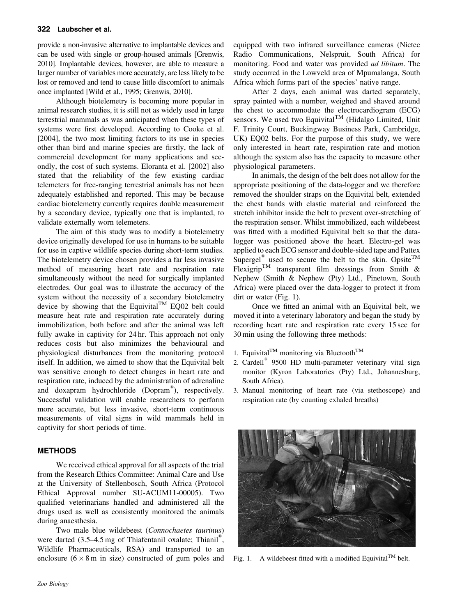#### 322 Laubscher et al.

provide a non-invasive alternative to implantable devices and can be used with single or group-housed animals [Grenwis, 2010]. Implantable devices, however, are able to measure a larger number of variables more accurately, are less likely to be lost or removed and tend to cause little discomfort to animals once implanted [Wild et al., 1995; Grenwis, 2010].

Although biotelemetry is becoming more popular in animal research studies, it is still not as widely used in large terrestrial mammals as was anticipated when these types of systems were first developed. According to Cooke et al. [2004], the two most limiting factors to its use in species other than bird and marine species are firstly, the lack of commercial development for many applications and secondly, the cost of such systems. Eloranta et al. [2002] also stated that the reliability of the few existing cardiac telemeters for free-ranging terrestrial animals has not been adequately established and reported. This may be because cardiac biotelemetry currently requires double measurement by a secondary device, typically one that is implanted, to validate externally worn telemeters.

The aim of this study was to modify a biotelemetry device originally developed for use in humans to be suitable for use in captive wildlife species during short-term studies. The biotelemetry device chosen provides a far less invasive method of measuring heart rate and respiration rate simultaneously without the need for surgically implanted electrodes. Our goal was to illustrate the accuracy of the system without the necessity of a secondary biotelemetry device by showing that the Equivital<sup>TM</sup> EQ02 belt could measure heat rate and respiration rate accurately during immobilization, both before and after the animal was left fully awake in captivity for 24 hr. This approach not only reduces costs but also minimizes the behavioural and physiological disturbances from the monitoring protocol itself. In addition, we aimed to show that the Equivital belt was sensitive enough to detect changes in heart rate and respiration rate, induced by the administration of adrenaline and doxapram hydrochloride (Dopram®), respectively. Successful validation will enable researchers to perform more accurate, but less invasive, short-term continuous measurements of vital signs in wild mammals held in captivity for short periods of time.

## METHODS

We received ethical approval for all aspects of the trial from the Research Ethics Committee: Animal Care and Use at the University of Stellenbosch, South Africa (Protocol Ethical Approval number SU-ACUM11-00005). Two qualified veterinarians handled and administered all the drugs used as well as consistently monitored the animals during anaesthesia.

Two male blue wildebeest (Connochaetes taurinus) were darted  $(3.5-4.5 \text{ mg of Thiafentanil oxalate; Thianil<sup>®</sup>$ , Wildlife Pharmaceuticals, RSA) and transported to an enclosure  $(6 \times 8 \text{ m})$  in size) constructed of gum poles and equipped with two infrared surveillance cameras (Nictec Radio Communications, Nelspruit, South Africa) for monitoring. Food and water was provided ad libitum. The study occurred in the Lowveld area of Mpumalanga, South Africa which forms part of the species' native range.

After 2 days, each animal was darted separately, spray painted with a number, weighed and shaved around the chest to accommodate the electrocardiogram (ECG) sensors. We used two Equivital<sup>TM</sup> (Hidalgo Limited, Unit F. Trinity Court, Buckingway Business Park, Cambridge, UK) EQ02 belts. For the purpose of this study, we were only interested in heart rate, respiration rate and motion although the system also has the capacity to measure other physiological parameters.

In animals, the design of the belt does not allow for the appropriate positioning of the data-logger and we therefore removed the shoulder straps on the Equivital belt, extended the chest bands with elastic material and reinforced the stretch inhibitor inside the belt to prevent over-stretching of the respiration sensor. Whilst immobilized, each wildebeest was fitted with a modified Equivital belt so that the datalogger was positioned above the heart. Electro-gel was applied to each ECG sensor and double-sided tape and Pattex Supergel<sup>®</sup> used to secure the belt to the skin. Opsite<sup>TM</sup> Flexigrip<sup>TM</sup> transparent film dressings from Smith  $\&$ Nephew (Smith & Nephew (Pty) Ltd., Pinetown, South Africa) were placed over the data-logger to protect it from dirt or water (Fig. 1).

Once we fitted an animal with an Equivital belt, we moved it into a veterinary laboratory and began the study by recording heart rate and respiration rate every 15 sec for 30 min using the following three methods:

- 1. Equivital<sup>TM</sup> monitoring via Bluetooth<sup>TM</sup>
- 2. Cardell<sup>®</sup> 9500 HD multi-parameter veterinary vital sign monitor (Kyron Laboratories (Pty) Ltd., Johannesburg, South Africa).
- 3. Manual monitoring of heart rate (via stethoscope) and respiration rate (by counting exhaled breaths)



Fig. 1. A wildebeest fitted with a modified Equivital<sup>TM</sup> belt.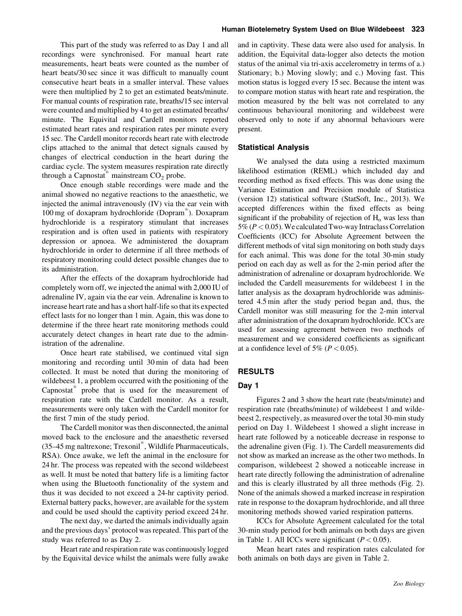This part of the study was referred to as Day 1 and all recordings were synchronised. For manual heart rate measurements, heart beats were counted as the number of heart beats/30 sec since it was difficult to manually count consecutive heart beats in a smaller interval. These values were then multiplied by 2 to get an estimated beats/minute. For manual counts of respiration rate, breaths/15 sec interval were counted and multiplied by 4 to get an estimated breaths/ minute. The Equivital and Cardell monitors reported estimated heart rates and respiration rates per minute every 15 sec. The Cardell monitor records heart rate with electrode clips attached to the animal that detect signals caused by changes of electrical conduction in the heart during the cardiac cycle. The system measures respiration rate directly through a Capnostat<sup>®</sup> mainstream  $CO<sub>2</sub>$  probe.

Once enough stable recordings were made and the animal showed no negative reactions to the anaesthetic, we injected the animal intravenously (IV) via the ear vein with 100 mg of doxapram hydrochloride (Dopram®). Doxapram hydrochloride is a respiratory stimulant that increases respiration and is often used in patients with respiratory depression or apnoea. We administered the doxapram hydrochloride in order to determine if all three methods of respiratory monitoring could detect possible changes due to its administration.

After the effects of the doxapram hydrochloride had completely worn off, we injected the animal with 2,000 IU of adrenaline IV, again via the ear vein. Adrenaline is known to increase heart rate and has a short half-life so that its expected effect lasts for no longer than 1 min. Again, this was done to determine if the three heart rate monitoring methods could accurately detect changes in heart rate due to the administration of the adrenaline.

Once heart rate stabilised, we continued vital sign monitoring and recording until 30 min of data had been collected. It must be noted that during the monitoring of wildebeest 1, a problem occurred with the positioning of the  $Capnostat<sup>®</sup>$  probe that is used for the measurement of respiration rate with the Cardell monitor. As a result, measurements were only taken with the Cardell monitor for the first 7 min of the study period.

The Cardell monitor was then disconnected, the animal moved back to the enclosure and the anaesthetic reversed  $(35-45 \text{ mg }$  naltrexone; Trexonil<sup>®</sup>, Wildlife Pharmaceuticals, RSA). Once awake, we left the animal in the enclosure for 24 hr. The process was repeated with the second wildebeest as well. It must be noted that battery life is a limiting factor when using the Bluetooth functionality of the system and thus it was decided to not exceed a 24-hr captivity period. External battery packs, however, are available for the system and could be used should the captivity period exceed 24 hr.

The next day, we darted the animals individually again and the previous days' protocol was repeated. This part of the study was referred to as Day 2.

Heart rate and respiration rate was continuously logged by the Equivital device whilst the animals were fully awake

and in captivity. These data were also used for analysis. In addition, the Equivital data-logger also detects the motion status of the animal via tri-axis accelerometry in terms of a.) Stationary; b.) Moving slowly; and c.) Moving fast. This motion status is logged every 15 sec. Because the intent was to compare motion status with heart rate and respiration, the motion measured by the belt was not correlated to any continuous behavioural monitoring and wildebeest were observed only to note if any abnormal behaviours were present.

#### Statistical Analysis

We analysed the data using a restricted maximum likelihood estimation (REML) which included day and recording method as fixed effects. This was done using the Variance Estimation and Precision module of Statistica (version 12) statistical software (StatSoft, Inc., 2013). We accepted differences within the fixed effects as being significant if the probability of rejection of  $H<sub>o</sub>$  was less than 5% ( $P < 0.05$ ). We calculated Two-way Intraclass Correlation Coefficients (ICC) for Absolute Agreement between the different methods of vital sign monitoring on both study days for each animal. This was done for the total 30-min study period on each day as well as for the 2-min period after the administration of adrenaline or doxapram hydrochloride. We included the Cardell measurements for wildebeest 1 in the latter analysis as the doxapram hydrochloride was administered 4.5 min after the study period began and, thus, the Cardell monitor was still measuring for the 2-min interval after administration of the doxapram hydrochloride. ICCs are used for assessing agreement between two methods of measurement and we considered coefficients as significant at a confidence level of 5% ( $P < 0.05$ ).

#### RESULTS

#### Day 1

Figures 2 and 3 show the heart rate (beats/minute) and respiration rate (breaths/minute) of wildebeest 1 and wildebeest 2, respectively, as measured over the total 30-min study period on Day 1. Wildebeest 1 showed a slight increase in heart rate followed by a noticeable decrease in response to the adrenaline given (Fig. 1). The Cardell measurements did not show as marked an increase as the other two methods. In comparison, wildebeest 2 showed a noticeable increase in heart rate directly following the administration of adrenaline and this is clearly illustrated by all three methods (Fig. 2). None of the animals showed a marked increase in respiration rate in response to the doxapram hydrochloride, and all three monitoring methods showed varied respiration patterns.

ICCs for Absolute Agreement calculated for the total 30-min study period for both animals on both days are given in Table 1. All ICCs were significant  $(P < 0.05)$ .

Mean heart rates and respiration rates calculated for both animals on both days are given in Table 2.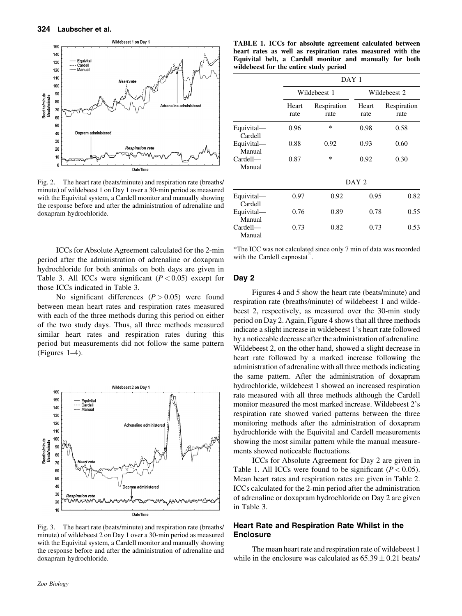

Fig. 2. The heart rate (beats/minute) and respiration rate (breaths/ minute) of wildebeest 1 on Day 1 over a 30-min period as measured with the Equivital system, a Cardell monitor and manually showing the response before and after the administration of adrenaline and doxapram hydrochloride.

ICCs for Absolute Agreement calculated for the 2-min period after the administration of adrenaline or doxapram hydrochloride for both animals on both days are given in Table 3. All ICCs were significant  $(P < 0.05)$  except for those ICCs indicated in Table 3.

No significant differences  $(P > 0.05)$  were found between mean heart rates and respiration rates measured with each of the three methods during this period on either of the two study days. Thus, all three methods measured similar heart rates and respiration rates during this period but measurements did not follow the same pattern (Figures 1–4).



Fig. 3. The heart rate (beats/minute) and respiration rate (breaths/ minute) of wildebeest 2 on Day 1 over a 30-min period as measured with the Equivital system, a Cardell monitor and manually showing the response before and after the administration of adrenaline and doxapram hydrochloride.

TABLE 1. ICCs for absolute agreement calculated between heart rates as well as respiration rates measured with the Equivital belt, a Cardell monitor and manually for both wildebeest for the entire study period

|                       |               | DAY 1               |               |                     |  |  |
|-----------------------|---------------|---------------------|---------------|---------------------|--|--|
|                       |               | Wildebeest 1        |               | Wildebeest 2        |  |  |
|                       | Heart<br>rate | Respiration<br>rate | Heart<br>rate | Respiration<br>rate |  |  |
| Equivital-<br>Cardell | 0.96          | *                   | 0.98          | 0.58                |  |  |
| Equivital-<br>Manual  | 0.88          | 0.92                | 0.93          | 0.60                |  |  |
| Cardell<br>Manual     | 0.87          | *                   | 0.92          | 0.30                |  |  |
|                       |               | DAY <sub>2</sub>    |               |                     |  |  |
| Equivital-<br>Cardell | 0.97          | 0.92                | 0.95          | 0.82                |  |  |
| Equivital-<br>Manual  | 0.76          | 0.89                | 0.78          |                     |  |  |
| Cardell-<br>Manual    | 0.73          | 0.82                | 0.73          | 0.53                |  |  |

\*The ICC was not calculated since only 7 min of data was recorded with the Cardell capnostat<sup>®</sup>.

#### Day 2

Figures 4 and 5 show the heart rate (beats/minute) and respiration rate (breaths/minute) of wildebeest 1 and wildebeest 2, respectively, as measured over the 30-min study period on Day 2. Again, Figure 4 shows that all three methods indicate a slight increase in wildebeest 1's heart rate followed by a noticeable decrease after the administration of adrenaline. Wildebeest 2, on the other hand, showed a slight decrease in heart rate followed by a marked increase following the administration of adrenaline with all three methods indicating the same pattern. After the administration of doxapram hydrochloride, wildebeest 1 showed an increased respiration rate measured with all three methods although the Cardell monitor measured the most marked increase. Wildebeest 2's respiration rate showed varied patterns between the three monitoring methods after the administration of doxapram hydrochloride with the Equivital and Cardell measurements showing the most similar pattern while the manual measurements showed noticeable fluctuations.

ICCs for Absolute Agreement for Day 2 are given in Table 1. All ICCs were found to be significant ( $P < 0.05$ ). Mean heart rates and respiration rates are given in Table 2. ICCs calculated for the 2-min period after the administration of adrenaline or doxapram hydrochloride on Day 2 are given in Table 3.

## Heart Rate and Respiration Rate Whilst in the **Enclosure**

The mean heart rate and respiration rate of wildebeest 1 while in the enclosure was calculated as  $65.39 \pm 0.21$  beats/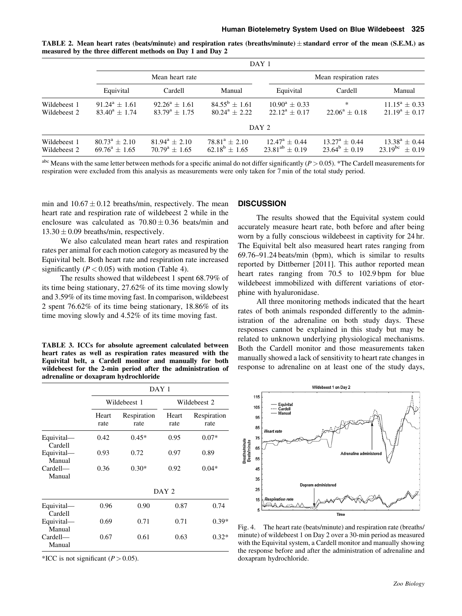|  |                                                            |  | <b>TABLE 2.</b> Mean heart rates (beats/minute) and respiration rates (breaths/minute) $\pm$ standard error of the mean (S.E.M.) as |  |  |  |
|--|------------------------------------------------------------|--|-------------------------------------------------------------------------------------------------------------------------------------|--|--|--|
|  | measured by the three different methods on Day 1 and Day 2 |  |                                                                                                                                     |  |  |  |

|                              | DAY 1                                        |                                              |                                              |                                                 |                                            |                                           |  |
|------------------------------|----------------------------------------------|----------------------------------------------|----------------------------------------------|-------------------------------------------------|--------------------------------------------|-------------------------------------------|--|
|                              |                                              | Mean heart rate                              |                                              | Mean respiration rates                          |                                            |                                           |  |
|                              | Equivital                                    | Cardell                                      | Manual                                       | Equivital                                       | Cardell                                    | Manual                                    |  |
| Wildebeest 1<br>Wildebeest 2 | $91.24^a + 1.61$<br>$83.40^a + 1.74$         | $92.26^a \pm 1.61$<br>$83.79^{\rm a} + 1.75$ | $84.55^{\rm b} \pm 1.61$<br>$80.24^a + 2.22$ | $10.90^a + 0.33$<br>$22.12^a + 0.17$            | *<br>$22.06^a \pm 0.18$                    | $11.15^a + 0.33$<br>$21.19^a + 0.17$      |  |
|                              |                                              |                                              |                                              | DAY 2                                           |                                            |                                           |  |
| Wildebeest 1<br>Wildebeest 2 | $80.73^{\rm a} \pm 2.10$<br>$69.76^a + 1.65$ | $81.94^a + 2.10$<br>$70.79^{\rm a} + 1.65$   | $78.81^a + 2.10$<br>$62.18^b + 1.65$         | $12.47^{\rm a} \pm 0.44$<br>$23.81^{ab} + 0.19$ | $13.27^{\rm a} + 0.44$<br>$23.64^b + 0.19$ | $13.38^a \pm 0.44$<br>$23.19^{bc} + 0.19$ |  |

<sup>abc</sup> Means with the same letter between methods for a specific animal do not differ significantly ( $P > 0.05$ ). \*The Cardell measurements for respiration were excluded from this analysis as measurements were only taken for 7 min of the total study period.

min and  $10.67 \pm 0.12$  breaths/min, respectively. The mean heart rate and respiration rate of wildebeest 2 while in the enclosure was calculated as  $70.80 \pm 0.36$  beats/min and  $13.30 \pm 0.09$  breaths/min, respectively.

We also calculated mean heart rates and respiration rates per animal for each motion category as measured by the Equivital belt. Both heart rate and respiration rate increased significantly  $(P < 0.05)$  with motion (Table 4).

The results showed that wildebeest 1 spent 68.79% of its time being stationary, 27.62% of its time moving slowly and 3.59% of its time moving fast. In comparison, wildebeest 2 spent 76.62% of its time being stationary, 18.86% of its time moving slowly and 4.52% of its time moving fast.

TABLE 3. ICCs for absolute agreement calculated between heart rates as well as respiration rates measured with the Equivital belt, a Cardell monitor and manually for both wildebeest for the 2-min period after the administration of adrenaline or doxapram hydrochloride

|                       |               | DAY 1               |               |                     |  |  |  |
|-----------------------|---------------|---------------------|---------------|---------------------|--|--|--|
|                       |               | Wildebeest 1        |               | Wildebeest 2        |  |  |  |
|                       | Heart<br>rate | Respiration<br>rate | Heart<br>rate | Respiration<br>rate |  |  |  |
| Equivital—<br>Cardell | 0.42          | $0.45*$             | 0.95          | $0.07*$<br>0.89     |  |  |  |
| Equivital-<br>Manual  | 0.93          | 0.72                | 0.97          |                     |  |  |  |
| Cardell-<br>Manual    | 0.36          | $0.30*$             | 0.92          | $0.04*$             |  |  |  |
|                       |               | DAY 2               |               |                     |  |  |  |
| Equivital—<br>Cardell | 0.96          | 0.90                | 0.87          | 0.74                |  |  |  |
| Equivital-<br>Manual  | 0.69          | 0.71                | 0.71          | $0.39*$             |  |  |  |
| Cardell-<br>Manual    | 0.67          | 0.61                | 0.63          | $0.32*$             |  |  |  |

\*ICC is not significant  $(P > 0.05)$ .

#### **DISCUSSION**

The results showed that the Equivital system could accurately measure heart rate, both before and after being worn by a fully conscious wildebeest in captivity for 24 hr. The Equivital belt also measured heart rates ranging from 69.76–91.24 beats/min (bpm), which is similar to results reported by Dittberner [2011]. This author reported mean heart rates ranging from 70.5 to 102.9 bpm for blue wildebeest immobilized with different variations of etorphine with hyaluronidase.

All three monitoring methods indicated that the heart rates of both animals responded differently to the administration of the adrenaline on both study days. These responses cannot be explained in this study but may be related to unknown underlying physiological mechanisms. Both the Cardell monitor and those measurements taken manually showed a lack of sensitivity to heart rate changes in response to adrenaline on at least one of the study days,



Fig. 4. The heart rate (beats/minute) and respiration rate (breaths/ minute) of wildebeest 1 on Day 2 over a 30-min period as measured with the Equivital system, a Cardell monitor and manually showing the response before and after the administration of adrenaline and doxapram hydrochloride.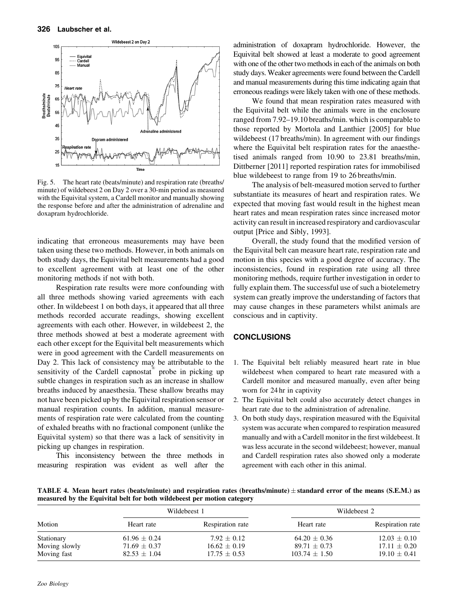

Fig. 5. The heart rate (beats/minute) and respiration rate (breaths/ minute) of wildebeest 2 on Day 2 over a 30-min period as measured with the Equivital system, a Cardell monitor and manually showing the response before and after the administration of adrenaline and doxapram hydrochloride.

indicating that erroneous measurements may have been taken using these two methods. However, in both animals on both study days, the Equivital belt measurements had a good to excellent agreement with at least one of the other monitoring methods if not with both.

Respiration rate results were more confounding with all three methods showing varied agreements with each other. In wildebeest 1 on both days, it appeared that all three methods recorded accurate readings, showing excellent agreements with each other. However, in wildebeest 2, the three methods showed at best a moderate agreement with each other except for the Equivital belt measurements which were in good agreement with the Cardell measurements on Day 2. This lack of consistency may be attributable to the sensitivity of the Cardell capnostat<sup>®</sup> probe in picking up subtle changes in respiration such as an increase in shallow breaths induced by anaesthesia. These shallow breaths may not have been picked up by the Equivital respiration sensor or manual respiration counts. In addition, manual measurements of respiration rate were calculated from the counting of exhaled breaths with no fractional component (unlike the Equivital system) so that there was a lack of sensitivity in picking up changes in respiration.

This inconsistency between the three methods in measuring respiration was evident as well after the

administration of doxapram hydrochloride. However, the Equivital belt showed at least a moderate to good agreement with one of the other two methods in each of the animals on both study days. Weaker agreements were found between the Cardell and manual measurements during this time indicating again that erroneous readings were likely taken with one of these methods.

We found that mean respiration rates measured with the Equivital belt while the animals were in the enclosure ranged from 7.92–19.10 breaths/min. which is comparable to those reported by Mortola and Lanthier [2005] for blue wildebeest (17 breaths/min). In agreement with our findings where the Equivital belt respiration rates for the anaesthetised animals ranged from 10.90 to 23.81 breaths/min, Dittberner [2011] reported respiration rates for immobilised blue wildebeest to range from 19 to 26 breaths/min.

The analysis of belt-measured motion served to further substantiate its measures of heart and respiration rates. We expected that moving fast would result in the highest mean heart rates and mean respiration rates since increased motor activity can result in increased respiratory and cardiovascular output [Price and Sibly, 1993].

Overall, the study found that the modified version of the Equivital belt can measure heart rate, respiration rate and motion in this species with a good degree of accuracy. The inconsistencies, found in respiration rate using all three monitoring methods, require further investigation in order to fully explain them. The successful use of such a biotelemetry system can greatly improve the understanding of factors that may cause changes in these parameters whilst animals are conscious and in captivity.

#### **CONCLUSIONS**

- 1. The Equivital belt reliably measured heart rate in blue wildebeest when compared to heart rate measured with a Cardell monitor and measured manually, even after being worn for 24 hr in captivity
- 2. The Equivital belt could also accurately detect changes in heart rate due to the administration of adrenaline.
- 3. On both study days, respiration measured with the Equivital system was accurate when compared to respiration measured manually and with a Cardell monitor in the first wildebeest. It was less accurate in the second wildebeest; however, manual and Cardell respiration rates also showed only a moderate agreement with each other in this animal.

TABLE 4. Mean heart rates (beats/minute) and respiration rates (breaths/minute)  $\pm$  standard error of the means (S.E.M.) as measured by the Equivital belt for both wildebeest per motion category

| Motion        |                  | Wildebeest 1     | Wildebeest 2      |                  |  |
|---------------|------------------|------------------|-------------------|------------------|--|
|               | Heart rate       | Respiration rate | Heart rate        | Respiration rate |  |
| Stationary    | $61.96 \pm 0.24$ | $7.92 \pm 0.12$  | $64.20 \pm 0.36$  | $12.03 \pm 0.10$ |  |
| Moving slowly | $71.69 \pm 0.37$ | $16.62 \pm 0.19$ | $89.71 \pm 0.73$  | $17.11 \pm 0.20$ |  |
| Moving fast   | $82.53 \pm 1.04$ | $17.75 \pm 0.53$ | $103.74 \pm 1.50$ | $19.10 \pm 0.41$ |  |